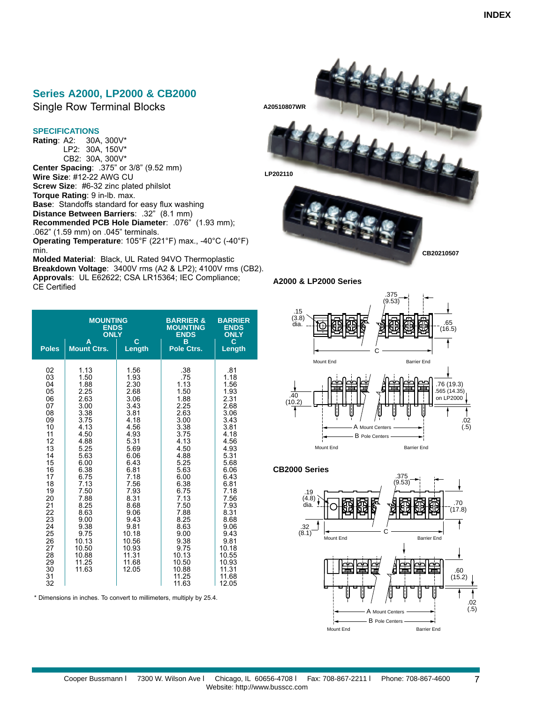## **Series A2000, LP2000 & CB2000**

Single Row Terminal Blocks

## **SPECIFICATIONS**

**Rating**: A2: 30A, 300V\* LP2: 30A, 150V\* CB2: 30A, 300V\* **Center Spacing**: .375" or 3/8" (9.52 mm) **Wire Size**: #12-22 AWG CU **Screw Size**: #6-32 zinc plated philslot **Torque Rating**: 9 in-lb. max. **Base**: Standoffs standard for easy flux washing **Distance Between Barriers**: .32" (8.1 mm) **Recommended PCB Hole Diameter**: .076" (1.93 mm); .062" (1.59 mm) on .045" terminals. **Operating Temperature**: 105°F (221°F) max., -40°C (-40°F) min. **Molded Material**: Black, UL Rated 94VO Thermoplastic

**Breakdown Voltage**: 3400V rms (A2 & LP2); 4100V rms (CB2). **Approvals**: UL E62622; CSA [LR15364; IEC Compliance;](#page--1-0)  CE Certified

| <b>Poles</b>                                                                                                                                                                                  | <b>MOUNTING</b><br><b>ENDS</b><br><b>ONLY</b><br>A<br><b>Mount Ctrs.</b>                                                                                                                                                                  | C<br>Length                                                                                                                                                                                                                                | <b>BARRIER &amp;</b><br><b>MOUNTING</b><br><b>ENDS</b><br>B<br>Pole Ctrs.                                                                                                                                                                               | <b>BARRIER</b><br><b>ENDS</b><br><b>ONLY</b><br>C<br>Length                                                                                                                                                                                               |
|-----------------------------------------------------------------------------------------------------------------------------------------------------------------------------------------------|-------------------------------------------------------------------------------------------------------------------------------------------------------------------------------------------------------------------------------------------|--------------------------------------------------------------------------------------------------------------------------------------------------------------------------------------------------------------------------------------------|---------------------------------------------------------------------------------------------------------------------------------------------------------------------------------------------------------------------------------------------------------|-----------------------------------------------------------------------------------------------------------------------------------------------------------------------------------------------------------------------------------------------------------|
| 02<br>03<br>04<br>05<br>06<br>07<br>08<br>09<br>10<br>11<br>12<br>13<br>14<br>15<br>16<br>17<br>18<br>19<br>20<br>$\frac{21}{22}$<br>23<br>24<br>25<br>26<br>27<br>28<br>29<br>30<br>31<br>32 | 1.13<br>1.50<br>1.88<br>2.25<br>2.63<br>3.00<br>3.38<br>3.75<br>4.13<br>4.50<br>4.88<br>5.25<br>5.63<br>6.00<br>6.38<br>6.75<br>7.13<br>7.50<br>7.88<br>8.25<br>8.63<br>9.00<br>9.38<br>9.75<br>10.13<br>10.50<br>10.88<br>11.25<br>11.63 | 1.56<br>1.93<br>2.30<br>2.68<br>3.06<br>3.43<br>3.81<br>4.18<br>4.56<br>4.93<br>5.31<br>5.69<br>6.06<br>6.43<br>6.81<br>7.18<br>7.56<br>7.93<br>8.31<br>8.68<br>9.06<br>9.43<br>9.81<br>10.18<br>10.56<br>10.93<br>11.31<br>11.68<br>12.05 | .38<br>.75<br>1.13<br>1.50<br>1.88<br>2.25<br>2.63<br>3.00<br>3.38<br>3.75<br>4.13<br>4.50<br>4.88<br>5.25<br>5.63<br>6.00<br>6.38<br>6.75<br>7.13<br>7.50<br>7.88<br>8.25<br>8.63<br>9.00<br>9.38<br>9.75<br>10.13<br>10.50<br>10.88<br>11.25<br>11.63 | .81<br>1.18<br>1.56<br>1.93<br>2.31<br>2.68<br>3.06<br>3.43<br>3.81<br>4.18<br>4.56<br>4.93<br>5.31<br>5.68<br>6.06<br>6.43<br>6.81<br>7.18<br>7.56<br>7.93<br>8.31<br>8.68<br>9.06<br>9.43<br>9.81<br>10.18<br>10.55<br>10.93<br>11.31<br>11.68<br>12.05 |

\* Dimensions in inches. To convert to millimeters, multiply by 25.4.



**A2000 & LP2000 Series**



## **CB2000 Series**

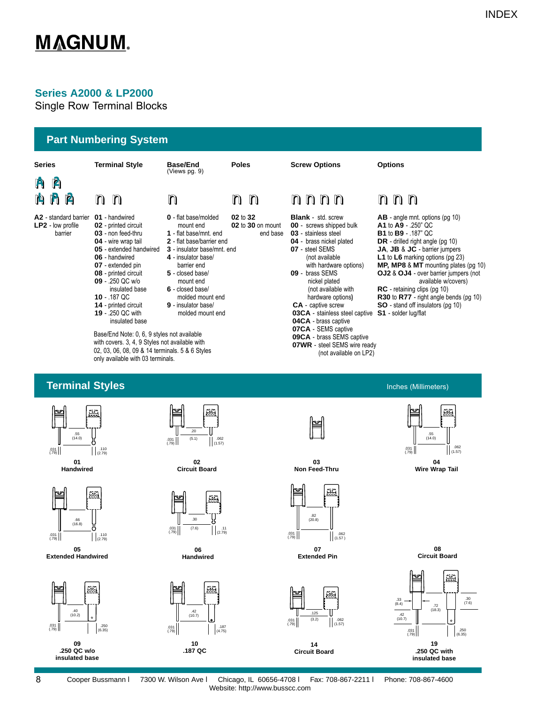# **Series A2000 & LP2000**

Single Row Terminal Blocks



<span id="page-1-0"></span>

Cooper Bussmann l 7300 W. Wilson Ave l Chicago, IL 60656-4708 l Fax: 708-867-2211 l Phone: 708-867-4600 Website: http://www.busscc.com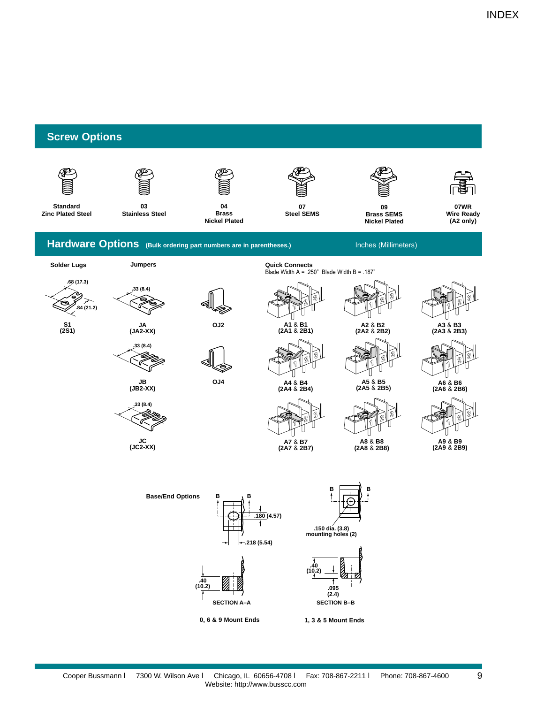9

# <span id="page-2-0"></span>**Screw Options**

<span id="page-2-2"></span><span id="page-2-1"></span>